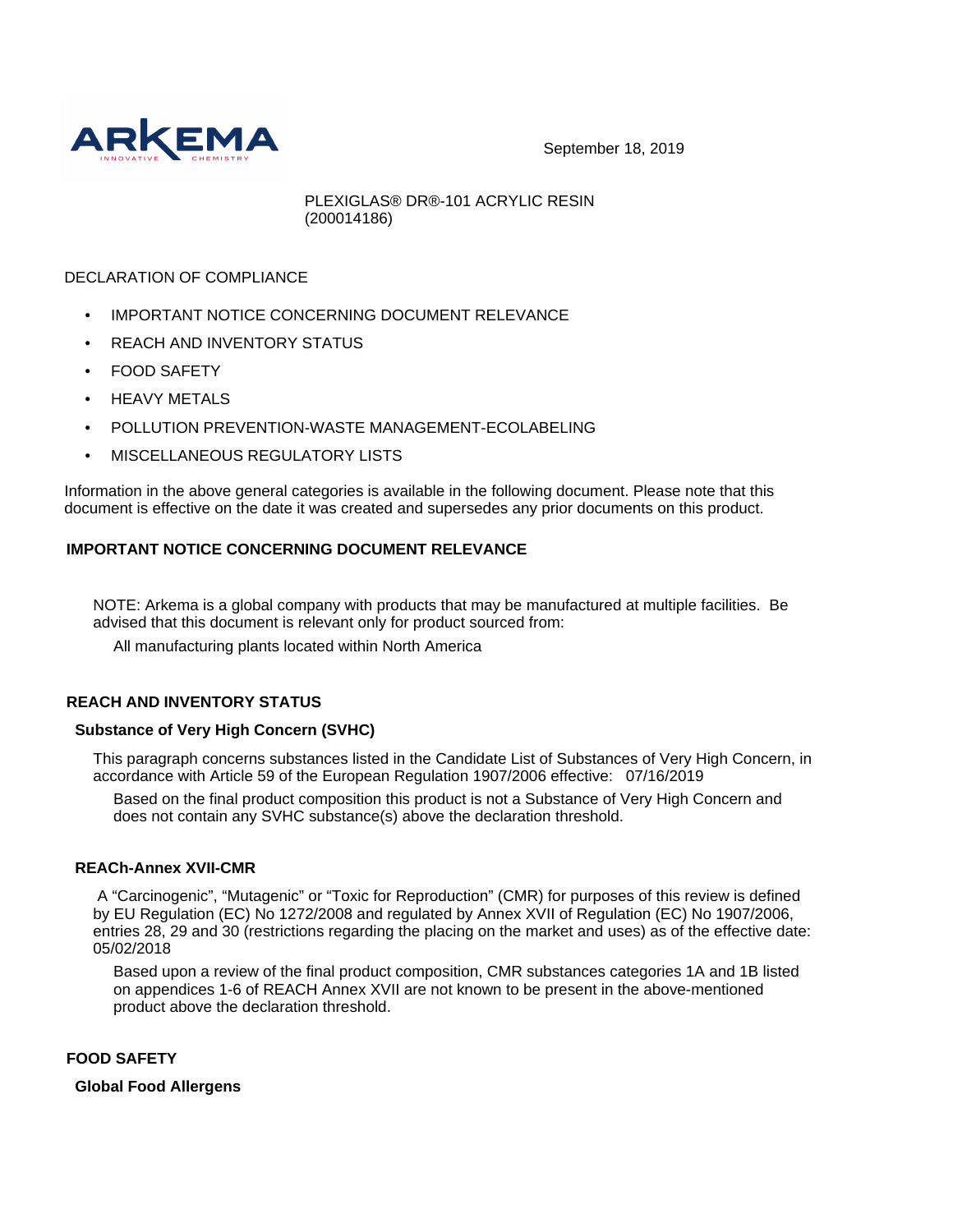

September 18, 2019

PLEXIGLAS® DR®-101 ACRYLIC RESIN (200014186)

# DECLARATION OF COMPLIANCE

- **IMPORTANT NOTICE CONCERNING DOCUMENT RELEVANCE**
- REACH AND INVENTORY STATUS
- FOOD SAFETY
- HEAVY METALS
- POLLUTION PREVENTION-WASTE MANAGEMENT-ECOLABELING
- MISCELLANEOUS REGULATORY LISTS

Information in the above general categories is available in the following document. Please note that this document is effective on the date it was created and supersedes any prior documents on this product.

# **IMPORTANT NOTICE CONCERNING DOCUMENT RELEVANCE**

NOTE: Arkema is a global company with products that may be manufactured at multiple facilities. Be advised that this document is relevant only for product sourced from:

All manufacturing plants located within North America

## **REACH AND INVENTORY STATUS**

## **Substance of Very High Concern (SVHC)**

This paragraph concerns substances listed in the Candidate List of Substances of Very High Concern, in accordance with Article 59 of the European Regulation 1907/2006 effective: 07/16/2019

Based on the final product composition this product is not a Substance of Very High Concern and does not contain any SVHC substance(s) above the declaration threshold.

## **REACh-Annex XVII-CMR**

 A "Carcinogenic", "Mutagenic" or "Toxic for Reproduction" (CMR) for purposes of this review is defined by EU Regulation (EC) No 1272/2008 and regulated by Annex XVII of Regulation (EC) No 1907/2006, entries 28, 29 and 30 (restrictions regarding the placing on the market and uses) as of the effective date: 05/02/2018

Based upon a review of the final product composition, CMR substances categories 1A and 1B listed on appendices 1-6 of REACH Annex XVII are not known to be present in the above-mentioned product above the declaration threshold.

# **FOOD SAFETY**

## **Global Food Allergens**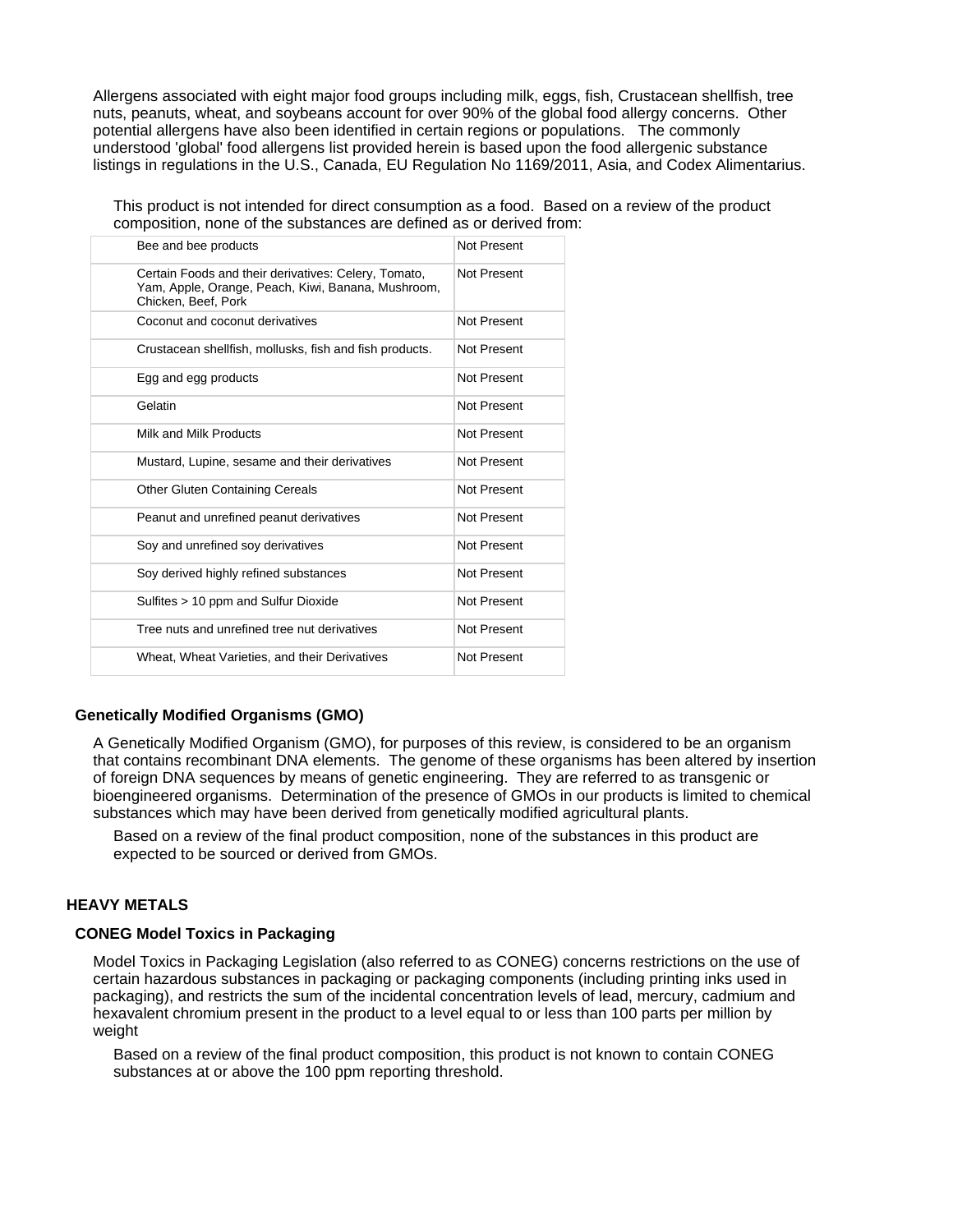Allergens associated with eight major food groups including milk, eggs, fish, Crustacean shellfish, tree nuts, peanuts, wheat, and soybeans account for over 90% of the global food allergy concerns. Other potential allergens have also been identified in certain regions or populations. The commonly understood 'global' food allergens list provided herein is based upon the food allergenic substance listings in regulations in the U.S., Canada, EU Regulation No 1169/2011, Asia, and Codex Alimentarius.

This product is not intended for direct consumption as a food. Based on a review of the product composition, none of the substances are defined as or derived from:

| Bee and bee products                                                                                                              | Not Present |
|-----------------------------------------------------------------------------------------------------------------------------------|-------------|
| Certain Foods and their derivatives: Celery, Tomato,<br>Yam, Apple, Orange, Peach, Kiwi, Banana, Mushroom,<br>Chicken, Beef, Pork | Not Present |
| Coconut and coconut derivatives                                                                                                   | Not Present |
| Crustacean shellfish, mollusks, fish and fish products.                                                                           | Not Present |
| Egg and egg products                                                                                                              | Not Present |
| Gelatin                                                                                                                           | Not Present |
| Milk and Milk Products                                                                                                            | Not Present |
| Mustard, Lupine, sesame and their derivatives                                                                                     | Not Present |
| <b>Other Gluten Containing Cereals</b>                                                                                            | Not Present |
| Peanut and unrefined peanut derivatives                                                                                           | Not Present |
| Soy and unrefined soy derivatives                                                                                                 | Not Present |
| Soy derived highly refined substances                                                                                             | Not Present |
| Sulfites > 10 ppm and Sulfur Dioxide                                                                                              | Not Present |
| Tree nuts and unrefined tree nut derivatives                                                                                      | Not Present |
| Wheat, Wheat Varieties, and their Derivatives                                                                                     | Not Present |

## **Genetically Modified Organisms (GMO)**

A Genetically Modified Organism (GMO), for purposes of this review, is considered to be an organism that contains recombinant DNA elements. The genome of these organisms has been altered by insertion of foreign DNA sequences by means of genetic engineering. They are referred to as transgenic or bioengineered organisms. Determination of the presence of GMOs in our products is limited to chemical substances which may have been derived from genetically modified agricultural plants.

Based on a review of the final product composition, none of the substances in this product are expected to be sourced or derived from GMOs.

#### **HEAVY METALS**

#### **CONEG Model Toxics in Packaging**

Model Toxics in Packaging Legislation (also referred to as CONEG) concerns restrictions on the use of certain hazardous substances in packaging or packaging components (including printing inks used in packaging), and restricts the sum of the incidental concentration levels of lead, mercury, cadmium and hexavalent chromium present in the product to a level equal to or less than 100 parts per million by weight

Based on a review of the final product composition, this product is not known to contain CONEG substances at or above the 100 ppm reporting threshold.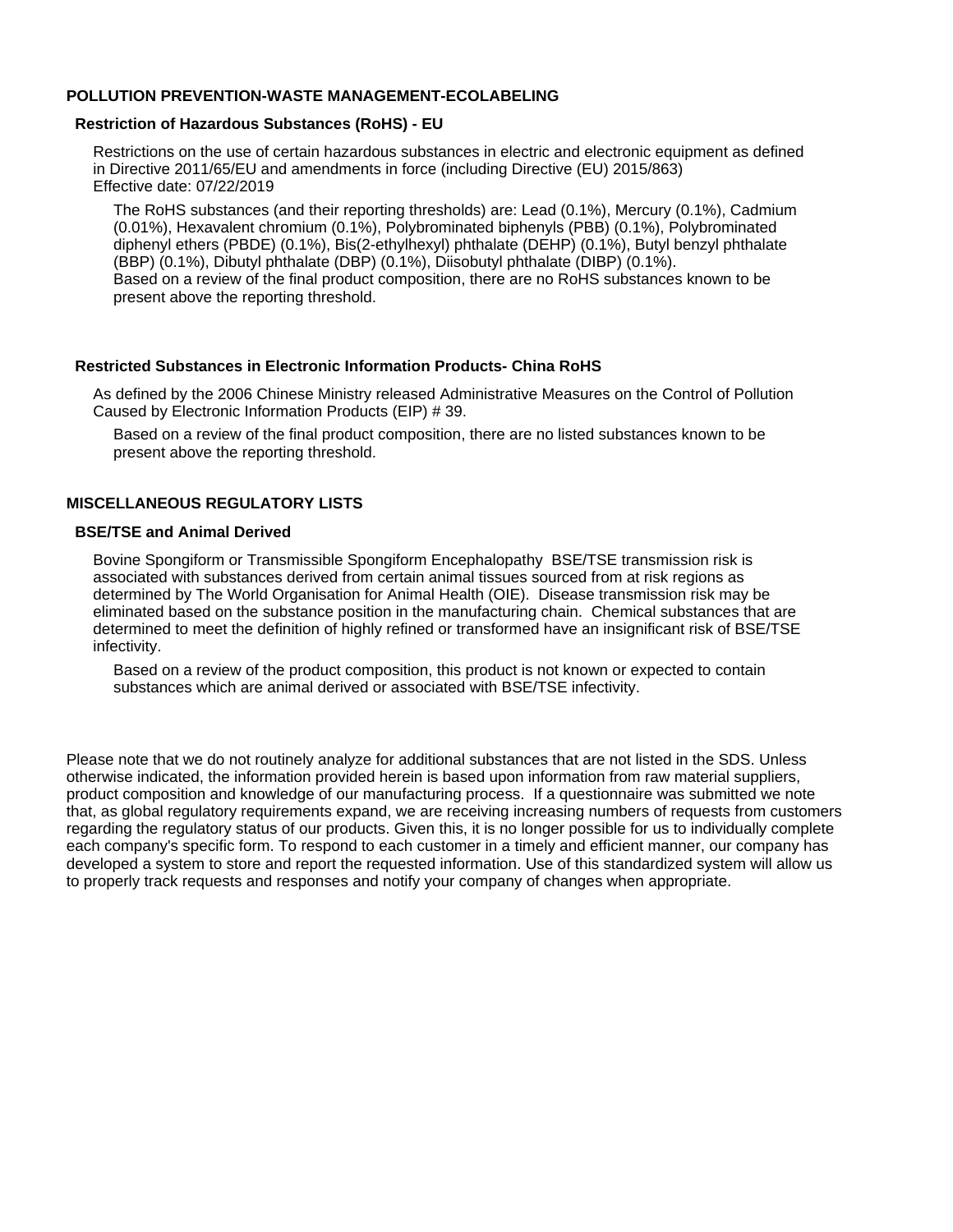## **POLLUTION PREVENTION-WASTE MANAGEMENT-ECOLABELING**

#### **Restriction of Hazardous Substances (RoHS) - EU**

Restrictions on the use of certain hazardous substances in electric and electronic equipment as defined in Directive 2011/65/EU and amendments in force (including Directive (EU) 2015/863) Effective date: 07/22/2019

The RoHS substances (and their reporting thresholds) are: Lead (0.1%), Mercury (0.1%), Cadmium (0.01%), Hexavalent chromium (0.1%), Polybrominated biphenyls (PBB) (0.1%), Polybrominated diphenyl ethers (PBDE) (0.1%), Bis(2-ethylhexyl) phthalate (DEHP) (0.1%), Butyl benzyl phthalate (BBP) (0.1%), Dibutyl phthalate (DBP) (0.1%), Diisobutyl phthalate (DIBP) (0.1%). Based on a review of the final product composition, there are no RoHS substances known to be present above the reporting threshold.

#### **Restricted Substances in Electronic Information Products- China RoHS**

As defined by the 2006 Chinese Ministry released Administrative Measures on the Control of Pollution Caused by Electronic Information Products (EIP) # 39.

Based on a review of the final product composition, there are no listed substances known to be present above the reporting threshold.

#### **MISCELLANEOUS REGULATORY LISTS**

#### **BSE/TSE and Animal Derived**

Bovine Spongiform or Transmissible Spongiform Encephalopathy BSE/TSE transmission risk is associated with substances derived from certain animal tissues sourced from at risk regions as determined by The World Organisation for Animal Health (OIE). Disease transmission risk may be eliminated based on the substance position in the manufacturing chain. Chemical substances that are determined to meet the definition of highly refined or transformed have an insignificant risk of BSE/TSE infectivity.

Based on a review of the product composition, this product is not known or expected to contain substances which are animal derived or associated with BSE/TSE infectivity.

Please note that we do not routinely analyze for additional substances that are not listed in the SDS. Unless otherwise indicated, the information provided herein is based upon information from raw material suppliers, product composition and knowledge of our manufacturing process. If a questionnaire was submitted we note that, as global regulatory requirements expand, we are receiving increasing numbers of requests from customers regarding the regulatory status of our products. Given this, it is no longer possible for us to individually complete each company's specific form. To respond to each customer in a timely and efficient manner, our company has developed a system to store and report the requested information. Use of this standardized system will allow us to properly track requests and responses and notify your company of changes when appropriate.